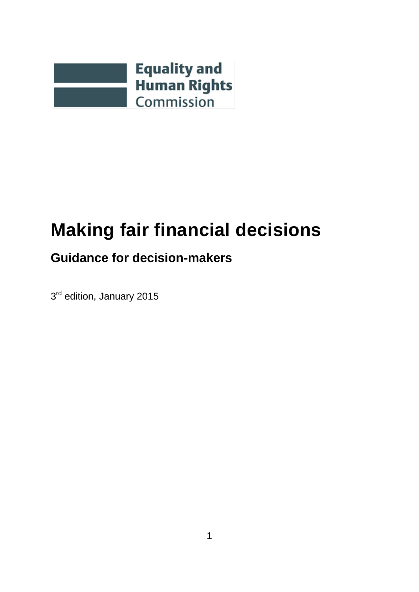

# **Making fair financial decisions**

# **Guidance for decision-makers**

3<sup>rd</sup> edition, January 2015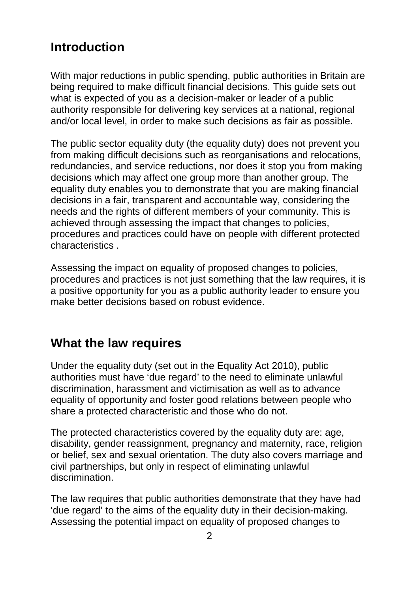# *<sup>B</sup>***Introduction**

With major reductions in public spending, public authorities in Britain are being required to make difficult financial decisions. This guide sets out what is expected of you as a decision-maker or leader of a public authority responsible for delivering key services at a national, regional and/or local level, in order to make such decisions as fair as possible.

The public sector equality duty (the equality duty) does not prevent you from making difficult decisions such as reorganisations and relocations, redundancies, and service reductions, nor does it stop you from making decisions which may affect one group more than another group. The equality duty enables you to demonstrate that you are making financial decisions in a fair, transparent and accountable way, considering the needs and the rights of different members of your community. This is achieved through assessing the impact that changes to policies, procedures and practices could have on people with different protected characteristics .

Assessing the impact on equality of proposed changes to policies, procedures and practices is not just something that the law requires, it is a positive opportunity for you as a public authority leader to ensure you make better decisions based on robust evidence.

# **What the law requires**

Under the equality duty (set out in the Equality Act 2010), public authorities must have 'due regard' to the need to eliminate unlawful discrimination, harassment and victimisation as well as to advance equality of opportunity and foster good relations between people who share a protected characteristic and those who do not.

The protected characteristics covered by the equality duty are: age, disability, gender reassignment, pregnancy and maternity, race, religion or belief, sex and sexual orientation. The duty also covers marriage and civil partnerships, but only in respect of eliminating unlawful discrimination.

The law requires that public authorities demonstrate that they have had 'due regard' to the aims of the equality duty in their decision-making. Assessing the potential impact on equality of proposed changes to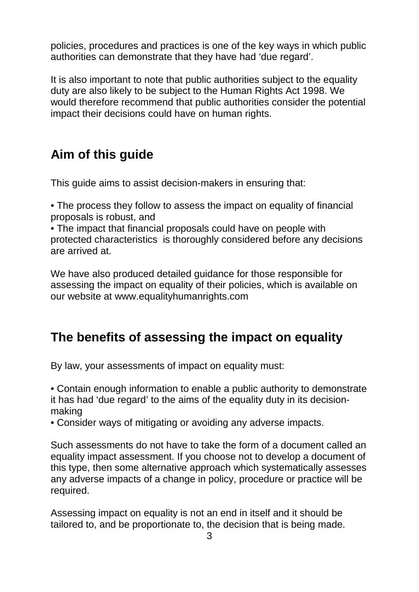policies, procedures and practices is one of the key ways in which public authorities can demonstrate that they have had 'due regard'.

It is also important to note that public authorities subject to the equality duty are also likely to be subject to the Human Rights Act 1998. We would therefore recommend that public authorities consider the potential impact their decisions could have on human rights.

# Aim of this guide

This guide aims to assist decision-makers in ensuring that:

• The process they follow to assess the impact on equality of financial proposals is robust, and

• The impact that financial proposals could have on people with protected characteristics is thoroughly considered before any decisions are arrived at.

We have also produced detailed guidance for those responsible for assessing the impact on equality of their policies, which is available on our website at www.equalityhumanrights.com

# *3B***The benefits of assessing the impact on equality**

By law, your assessments of impact on equality must:

• Contain enough information to enable a public authority to demonstrate it has had 'due regard' to the aims of the equality duty in its decisionmaking

• Consider ways of mitigating or avoiding any adverse impacts.

Such assessments do not have to take the form of a document called an equality impact assessment. If you choose not to develop a document of this type, then some alternative approach which systematically assesses any adverse impacts of a change in policy, procedure or practice will be required.

Assessing impact on equality is not an end in itself and it should be tailored to, and be proportionate to, the decision that is being made.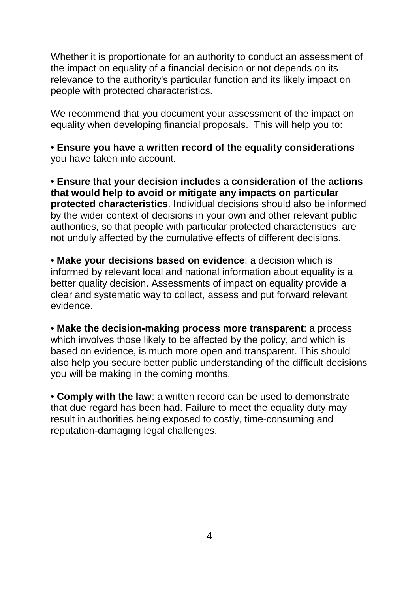Whether it is proportionate for an authority to conduct an assessment of the impact on equality of a financial decision or not depends on its relevance to the authority's particular function and its likely impact on people with protected characteristics.

We recommend that you document your assessment of the impact on equality when developing financial proposals. This will help you to:

• **Ensure you have a written record of the equality considerations**  you have taken into account.

• **Ensure that your decision includes a consideration of the actions that would help to avoid or mitigate any impacts on particular protected characteristics**. Individual decisions should also be informed by the wider context of decisions in your own and other relevant public authorities, so that people with particular protected characteristics are not unduly affected by the cumulative effects of different decisions.

• **Make your decisions based on evidence**: a decision which is informed by relevant local and national information about equality is a better quality decision. Assessments of impact on equality provide a clear and systematic way to collect, assess and put forward relevant evidence.

• **Make the decision-making process more transparent**: a process which involves those likely to be affected by the policy, and which is based on evidence, is much more open and transparent. This should also help you secure better public understanding of the difficult decisions you will be making in the coming months.

• **Comply with the law**: a written record can be used to demonstrate that due regard has been had. Failure to meet the equality duty may result in authorities being exposed to costly, time-consuming and reputation-damaging legal challenges.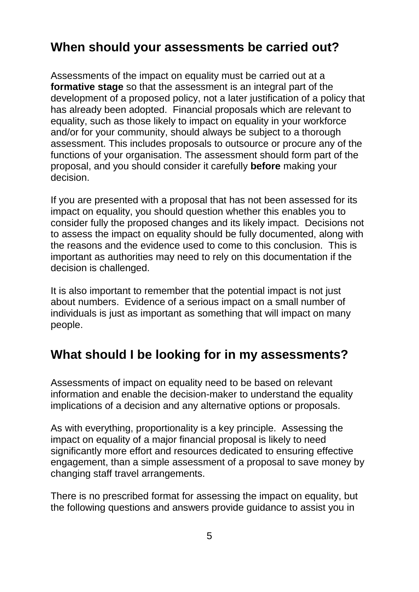# *4B***When should your assessments be carried out?**

Assessments of the impact on equality must be carried out at a **formative stage** so that the assessment is an integral part of the development of a proposed policy, not a later justification of a policy that has already been adopted. Financial proposals which are relevant to equality, such as those likely to impact on equality in your workforce and/or for your community, should always be subject to a thorough assessment. This includes proposals to outsource or procure any of the functions of your organisation. The assessment should form part of the proposal, and you should consider it carefully **before** making your decision.

If you are presented with a proposal that has not been assessed for its impact on equality, you should question whether this enables you to consider fully the proposed changes and its likely impact. Decisions not to assess the impact on equality should be fully documented, along with the reasons and the evidence used to come to this conclusion. This is important as authorities may need to rely on this documentation if the decision is challenged.

It is also important to remember that the potential impact is not just about numbers. Evidence of a serious impact on a small number of individuals is just as important as something that will impact on many people.

### *5B***What should I be looking for in my assessments?**

Assessments of impact on equality need to be based on relevant information and enable the decision-maker to understand the equality implications of a decision and any alternative options or proposals.

As with everything, proportionality is a key principle. Assessing the impact on equality of a major financial proposal is likely to need significantly more effort and resources dedicated to ensuring effective engagement, than a simple assessment of a proposal to save money by changing staff travel arrangements.

There is no prescribed format for assessing the impact on equality, but the following questions and answers provide guidance to assist you in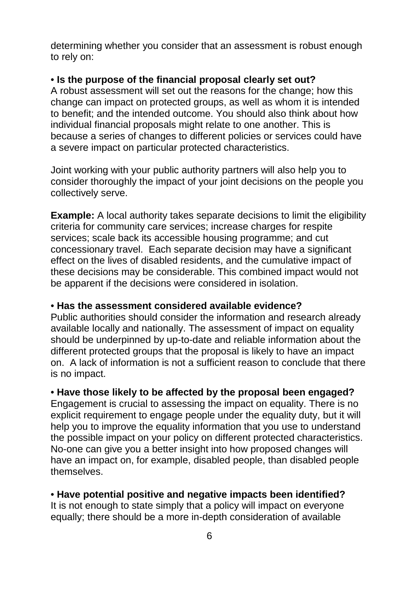determining whether you consider that an assessment is robust enough to rely on:

#### • **Is the purpose of the financial proposal clearly set out?**

A robust assessment will set out the reasons for the change; how this change can impact on protected groups, as well as whom it is intended to benefit; and the intended outcome. You should also think about how individual financial proposals might relate to one another. This is because a series of changes to different policies or services could have a severe impact on particular protected characteristics.

Joint working with your public authority partners will also help you to consider thoroughly the impact of your joint decisions on the people you collectively serve.

**Example:** A local authority takes separate decisions to limit the eligibility criteria for community care services; increase charges for respite services; scale back its accessible housing programme; and cut concessionary travel. Each separate decision may have a significant effect on the lives of disabled residents, and the cumulative impact of these decisions may be considerable. This combined impact would not be apparent if the decisions were considered in isolation.

#### • **Has the assessment considered available evidence?**

Public authorities should consider the information and research already available locally and nationally. The assessment of impact on equality should be underpinned by up-to-date and reliable information about the different protected groups that the proposal is likely to have an impact on. A lack of information is not a sufficient reason to conclude that there is no impact.

#### • **Have those likely to be affected by the proposal been engaged?**

Engagement is crucial to assessing the impact on equality. There is no explicit requirement to engage people under the equality duty, but it will help you to improve the equality information that you use to understand the possible impact on your policy on different protected characteristics. No-one can give you a better insight into how proposed changes will have an impact on, for example, disabled people, than disabled people themselves.

#### • **Have potential positive and negative impacts been identified?**

It is not enough to state simply that a policy will impact on everyone equally; there should be a more in-depth consideration of available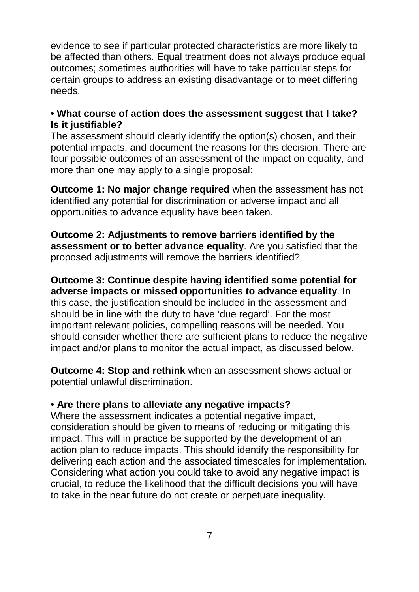evidence to see if particular protected characteristics are more likely to be affected than others. Equal treatment does not always produce equal outcomes; sometimes authorities will have to take particular steps for certain groups to address an existing disadvantage or to meet differing needs.

#### • **What course of action does the assessment suggest that I take? Is it justifiable?**

The assessment should clearly identify the option(s) chosen, and their potential impacts, and document the reasons for this decision. There are four possible outcomes of an assessment of the impact on equality, and more than one may apply to a single proposal:

**Outcome 1: No major change required** when the assessment has not identified any potential for discrimination or adverse impact and all opportunities to advance equality have been taken.

**Outcome 2: Adjustments to remove barriers identified by the assessment or to better advance equality**. Are you satisfied that the proposed adjustments will remove the barriers identified?

**Outcome 3: Continue despite having identified some potential for adverse impacts or missed opportunities to advance equality**. In this case, the justification should be included in the assessment and should be in line with the duty to have 'due regard'. For the most important relevant policies, compelling reasons will be needed. You should consider whether there are sufficient plans to reduce the negative impact and/or plans to monitor the actual impact, as discussed below.

**Outcome 4: Stop and rethink** when an assessment shows actual or potential unlawful discrimination.

#### • **Are there plans to alleviate any negative impacts?**

Where the assessment indicates a potential negative impact, consideration should be given to means of reducing or mitigating this impact. This will in practice be supported by the development of an action plan to reduce impacts. This should identify the responsibility for delivering each action and the associated timescales for implementation. Considering what action you could take to avoid any negative impact is crucial, to reduce the likelihood that the difficult decisions you will have to take in the near future do not create or perpetuate inequality.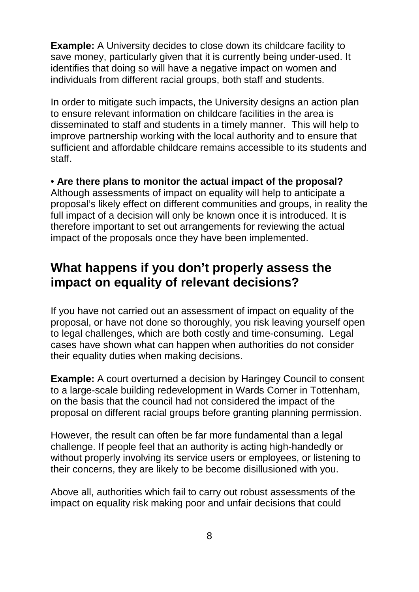**Example:** A University decides to close down its childcare facility to save money, particularly given that it is currently being under-used. It identifies that doing so will have a negative impact on women and individuals from different racial groups, both staff and students.

In order to mitigate such impacts, the University designs an action plan to ensure relevant information on childcare facilities in the area is disseminated to staff and students in a timely manner. This will help to improve partnership working with the local authority and to ensure that sufficient and affordable childcare remains accessible to its students and staff.

• **Are there plans to monitor the actual impact of the proposal?** Although assessments of impact on equality will help to anticipate a proposal's likely effect on different communities and groups, in reality the full impact of a decision will only be known once it is introduced. It is therefore important to set out arrangements for reviewing the actual impact of the proposals once they have been implemented.

# *6B***What happens if you don't properly assess the impact on equality of relevant decisions?**

If you have not carried out an assessment of impact on equality of the proposal, or have not done so thoroughly, you risk leaving yourself open to legal challenges, which are both costly and time-consuming. Legal cases have shown what can happen when authorities do not consider their equality duties when making decisions.

**Example:** A court overturned a decision by Haringey Council to consent to a large-scale building redevelopment in Wards Corner in Tottenham, on the basis that the council had not considered the impact of the proposal on different racial groups before granting planning permission.

However, the result can often be far more fundamental than a legal challenge. If people feel that an authority is acting high-handedly or without properly involving its service users or employees, or listening to their concerns, they are likely to be become disillusioned with you.

Above all, authorities which fail to carry out robust assessments of the impact on equality risk making poor and unfair decisions that could